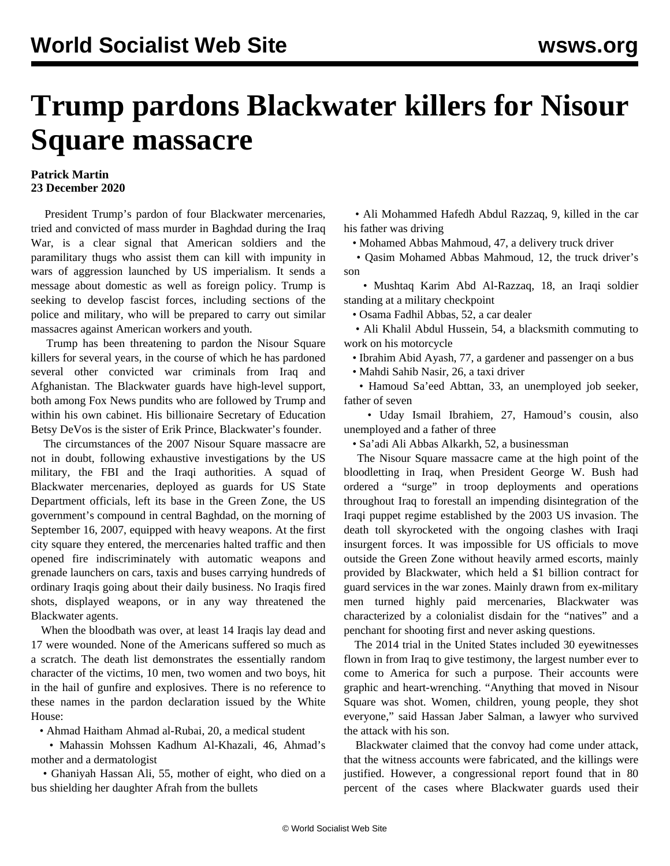## **Trump pardons Blackwater killers for Nisour Square massacre**

## **Patrick Martin 23 December 2020**

 President Trump's pardon of four Blackwater mercenaries, tried and convicted of mass murder in Baghdad during the Iraq War, is a clear signal that American soldiers and the paramilitary thugs who assist them can kill with impunity in wars of aggression launched by US imperialism. It sends a message about domestic as well as foreign policy. Trump is seeking to develop fascist forces, including sections of the police and military, who will be prepared to carry out similar massacres against American workers and youth.

 Trump has been threatening to pardon the Nisour Square killers for several years, in the course of which he has pardoned several other convicted war criminals from Iraq and Afghanistan. The Blackwater guards have high-level support, both among Fox News pundits who are followed by Trump and within his own cabinet. His billionaire Secretary of Education Betsy DeVos is the sister of Erik Prince, Blackwater's founder.

 The circumstances of the 2007 Nisour Square massacre are not in doubt, following exhaustive investigations by the US military, the FBI and the Iraqi authorities. A squad of Blackwater mercenaries, deployed as guards for US State Department officials, left its base in the Green Zone, the US government's compound in central Baghdad, on the morning of September 16, 2007, equipped with heavy weapons. At the first city square they entered, the mercenaries halted traffic and then opened fire indiscriminately with automatic weapons and grenade launchers on cars, taxis and buses carrying hundreds of ordinary Iraqis going about their daily business. No Iraqis fired shots, displayed weapons, or in any way threatened the Blackwater agents.

 When the bloodbath was over, at least 14 Iraqis lay dead and 17 were wounded. None of the Americans suffered so much as a scratch. The death list demonstrates the essentially random character of the victims, 10 men, two women and two boys, hit in the hail of gunfire and explosives. There is no reference to these names in the pardon declaration issued by the White House:

• Ahmad Haitham Ahmad al-Rubai, 20, a medical student

 • Mahassin Mohssen Kadhum Al-Khazali, 46, Ahmad's mother and a dermatologist

 • Ghaniyah Hassan Ali, 55, mother of eight, who died on a bus shielding her daughter Afrah from the bullets

 • Ali Mohammed Hafedh Abdul Razzaq, 9, killed in the car his father was driving

• Mohamed Abbas Mahmoud, 47, a delivery truck driver

 • Qasim Mohamed Abbas Mahmoud, 12, the truck driver's son

 • Mushtaq Karim Abd Al-Razzaq, 18, an Iraqi soldier standing at a military checkpoint

• Osama Fadhil Abbas, 52, a car dealer

 • Ali Khalil Abdul Hussein, 54, a blacksmith commuting to work on his motorcycle

• Ibrahim Abid Ayash, 77, a gardener and passenger on a bus

• Mahdi Sahib Nasir, 26, a taxi driver

 • Hamoud Sa'eed Abttan, 33, an unemployed job seeker, father of seven

 • Uday Ismail Ibrahiem, 27, Hamoud's cousin, also unemployed and a father of three

• Sa'adi Ali Abbas Alkarkh, 52, a businessman

 The Nisour Square massacre came at the high point of the bloodletting in Iraq, when President George W. Bush had ordered a "surge" in troop deployments and operations throughout Iraq to forestall an impending disintegration of the Iraqi puppet regime established by the 2003 US invasion. The death toll skyrocketed with the ongoing clashes with Iraqi insurgent forces. It was impossible for US officials to move outside the Green Zone without heavily armed escorts, mainly provided by Blackwater, which held a \$1 billion contract for guard services in the war zones. Mainly drawn from ex-military men turned highly paid mercenaries, Blackwater was characterized by a colonialist disdain for the "natives" and a penchant for shooting first and never asking questions.

 The 2014 trial in the United States included 30 eyewitnesses flown in from Iraq to give testimony, the largest number ever to come to America for such a purpose. Their accounts were graphic and heart-wrenching. "Anything that moved in Nisour Square was shot. Women, children, young people, they shot everyone," said Hassan Jaber Salman, a lawyer who survived the attack with his son.

 Blackwater claimed that the convoy had come under attack, that the witness accounts were fabricated, and the killings were justified. However, a congressional report found that in 80 percent of the cases where Blackwater guards used their